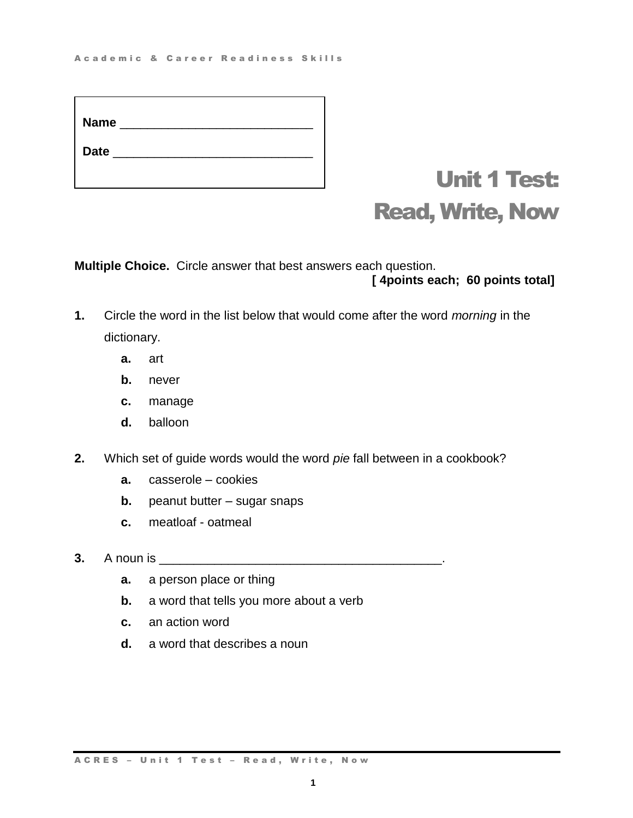# Unit 1 Test: Read, Write, Now

**Multiple Choice.** Circle answer that best answers each question.

## **[ 4points each; 60 points total]**

- **1.** Circle the word in the list below that would come after the word *morning* in the dictionary.
	- **a.** art
	- **b.** never
	- **c.** manage
	- **d.** balloon
- **2.** Which set of guide words would the word *pie* fall between in a cookbook?
	- **a.** casserole cookies
	- **b.** peanut butter sugar snaps
	- **c.** meatloaf oatmeal
- **3.** A noun is \_\_\_\_\_\_\_\_\_\_\_\_\_\_\_\_\_\_\_\_\_\_\_\_\_\_\_\_\_\_\_\_\_\_\_\_\_\_\_\_\_.
	- **a.** a person place or thing
	- **b.** a word that tells you more about a verb
	- **c.** an action word
	- **d.** a word that describes a noun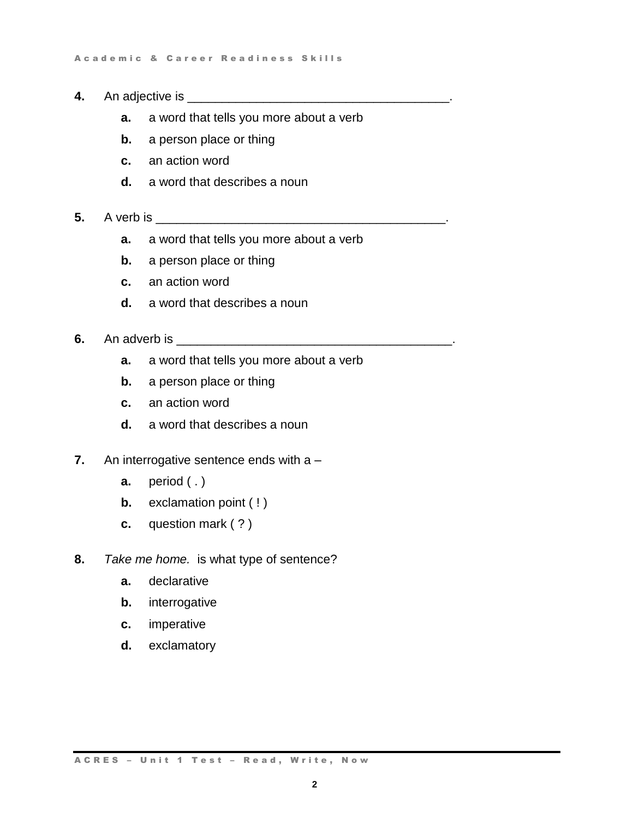- **4.** An adjective is \_\_\_\_\_\_\_\_\_\_\_\_\_\_\_\_\_\_\_\_\_\_\_\_\_\_\_\_\_\_\_\_\_\_\_\_\_\_.
	- **a.** a word that tells you more about a verb
	- **b.** a person place or thing
	- **c.** an action word
	- **d.** a word that describes a noun
- **5.** A verb is \_\_\_\_\_\_\_\_\_\_\_\_\_\_\_\_\_\_\_\_\_\_\_\_\_\_\_\_\_\_\_\_\_\_\_\_\_\_\_\_\_\_.
	- **a.** a word that tells you more about a verb
	- **b.** a person place or thing
	- **c.** an action word
	- **d.** a word that describes a noun
- **6.** An adverb is \_\_\_\_\_\_\_\_\_\_\_\_\_\_\_\_\_\_\_\_\_\_\_\_\_\_\_\_\_\_\_\_\_\_\_\_\_\_\_\_.
	- **a.** a word that tells you more about a verb
	- **b.** a person place or thing
	- **c.** an action word
	- **d.** a word that describes a noun
- **7.** An interrogative sentence ends with a
	- **a.** period (.)
	- **b.** exclamation point (!)
	- **c.** question mark ( ? )
- **8.** *Take me home.* is what type of sentence?
	- **a.** declarative
	- **b.** interrogative
	- **c.** imperative
	- **d.** exclamatory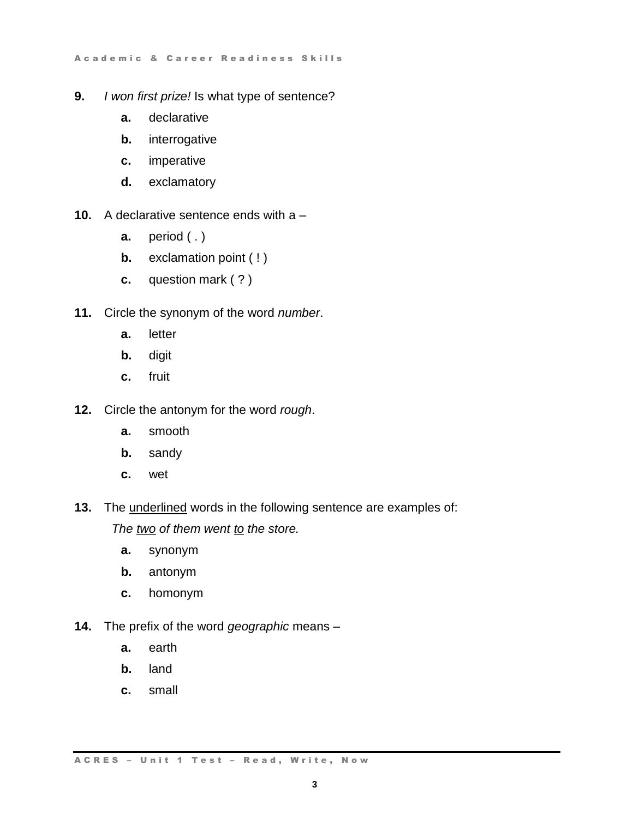- **9.** *I won first prize!* Is what type of sentence?
	- **a.** declarative
	- **b.** interrogative
	- **c.** imperative
	- **d.** exclamatory
- **10.** A declarative sentence ends with a
	- **a.** period (.)
	- **b.** exclamation point (!)
	- **c.** question mark ( ? )
- **11.** Circle the synonym of the word *number*.
	- **a.** letter
	- **b.** digit
	- **c.** fruit
- **12.** Circle the antonym for the word *rough*.
	- **a.** smooth
	- **b.** sandy
	- **c.** wet
- **13.** The underlined words in the following sentence are examples of:

*The two of them went to the store.*

- **a.** synonym
- **b.** antonym
- **c.** homonym
- **14.** The prefix of the word *geographic* means
	- **a.** earth
	- **b.** land
	- **c.** small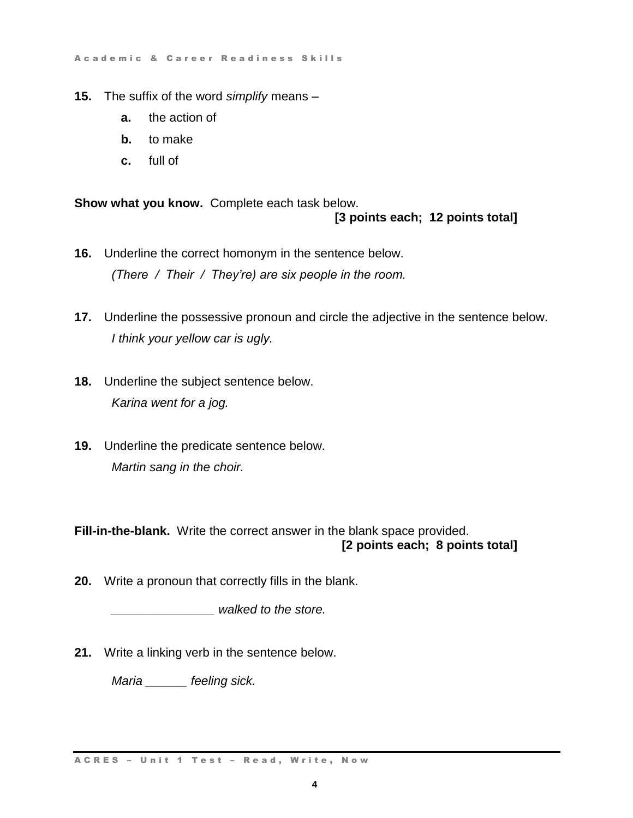A c a d e m i c & C a r e e r R e a d i n e s s S k ills

- **15.** The suffix of the word *simplify* means
	- **a.** the action of
	- **b.** to make
	- **c.** full of

**Show what you know.** Complete each task below. **[3 points each; 12 points total]**

- **16.** Underline the correct homonym in the sentence below. *(There / Their / They're) are six people in the room.*
- **17.** Underline the possessive pronoun and circle the adjective in the sentence below. *I think your yellow car is ugly.*
- **18.** Underline the subject sentence below. *Karina went for a jog.*
- **19.** Underline the predicate sentence below. *Martin sang in the choir.*

**Fill-in-the-blank.** Write the correct answer in the blank space provided. **[2 points each; 8 points total]**

**20.** Write a pronoun that correctly fills in the blank.

*\_\_\_\_\_\_\_\_\_\_\_\_\_\_\_ walked to the store.*

**21.** Write a linking verb in the sentence below.

*Maria \_\_\_\_\_\_ feeling sick.*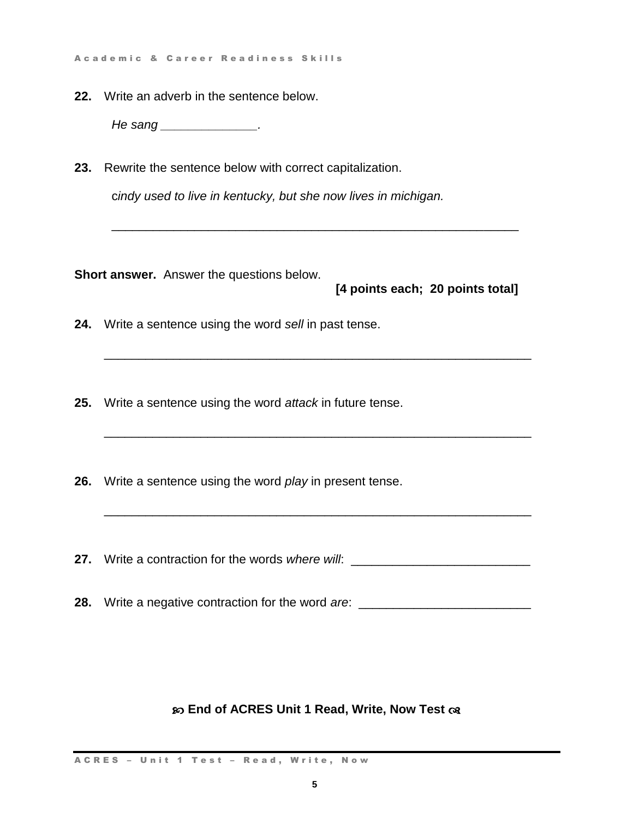A c a d e m i c & C a r e e r R e a d i n e s s S k ills

**22.** Write an adverb in the sentence below.

*He sang \_\_\_\_\_\_\_\_\_\_\_\_\_\_.*

**23.** Rewrite the sentence below with correct capitalization.

c*indy used to live in kentucky, but she now lives in michigan.* 

\_\_\_\_\_\_\_\_\_\_\_\_\_\_\_\_\_\_\_\_\_\_\_\_\_\_\_\_\_\_\_\_\_\_\_\_\_\_\_\_\_\_\_\_\_\_\_\_\_\_\_\_\_\_\_\_\_\_\_

\_\_\_\_\_\_\_\_\_\_\_\_\_\_\_\_\_\_\_\_\_\_\_\_\_\_\_\_\_\_\_\_\_\_\_\_\_\_\_\_\_\_\_\_\_\_\_\_\_\_\_\_\_\_\_\_\_\_\_\_\_\_

\_\_\_\_\_\_\_\_\_\_\_\_\_\_\_\_\_\_\_\_\_\_\_\_\_\_\_\_\_\_\_\_\_\_\_\_\_\_\_\_\_\_\_\_\_\_\_\_\_\_\_\_\_\_\_\_\_\_\_\_\_\_

\_\_\_\_\_\_\_\_\_\_\_\_\_\_\_\_\_\_\_\_\_\_\_\_\_\_\_\_\_\_\_\_\_\_\_\_\_\_\_\_\_\_\_\_\_\_\_\_\_\_\_\_\_\_\_\_\_\_\_\_\_\_

**Short answer.** Answer the questions below.

**[4 points each; 20 points total]**

- **24.** Write a sentence using the word *sell* in past tense.
- **25.** Write a sentence using the word *attack* in future tense.
- **26.** Write a sentence using the word *play* in present tense.
- **27.** Write a contraction for the words *where will*: \_\_\_\_\_\_\_\_\_\_\_\_\_\_\_\_\_\_\_\_\_\_\_\_\_\_\_\_

**28.** Write a negative contraction for the word *are*: \_\_\_\_\_\_\_\_\_\_\_\_\_\_\_\_\_\_\_\_\_\_\_\_\_

### **End of ACRES Unit 1 Read, Write, Now Test**